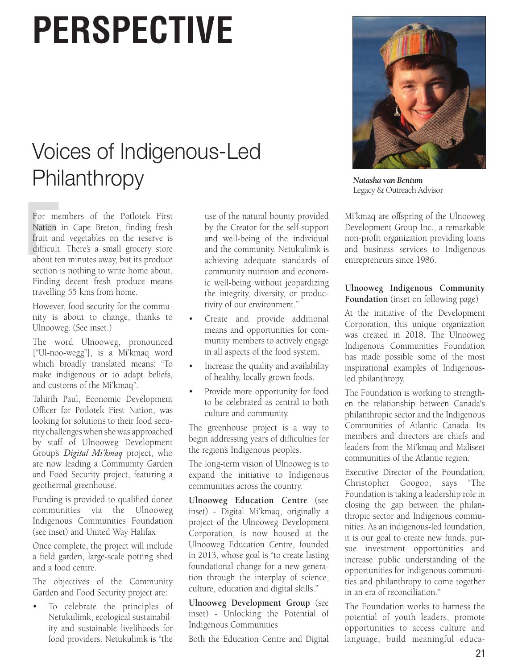# **PERSPECTIVE**

# Voices of Indigenous-Led **Philanthropy**

For me<br>Nation<br>fruit an<br>difficult<br>about te For members of the Potlotek First Nation in Cape Breton, finding fresh fruit and vegetables on the reserve is difficult. There's a small grocery store about ten minutes away, but its produce section is nothing to write home about. Finding decent fresh produce means travelling 55 kms from home.

However, food security for the community is about to change, thanks to Ulnooweg. (See inset.)

The word Ulnooweg, pronounced ["Ul-noo-wegg"], is a Mi'kmaq word which broadly translated means: "To make indigenous or to adapt beliefs, and customs of the Mi'kmaq".

Tahirih Paul, Economic Development Officer for Potlotek First Nation, was looking for solutions to their food security challenges when she was approached by staff of Ulnooweg Development Group's *Digital Mi'kmaq* project, who are now leading a Community Garden and Food Security project, featuring a geothermal greenhouse.

Funding is provided to qualified donee communities via the Ulnooweg Indigenous Communities Foundation (see inset) and United Way Halifax

Once complete, the project will include a field garden, large-scale potting shed and a food centre.

The objectives of the Community Garden and Food Security project are:

To celebrate the principles of Netukulimk, ecological sustainability and sustainable livelihoods for food providers. Netukulimk is "the

use of the natural bounty provided by the Creator for the self-support and well-being of the individual and the community. Netukulimk is achieving adequate standards of community nutrition and economic well-being without jeopardizing the integrity, diversity, or productivity of our environment."

- Create and provide additional means and opportunities for community members to actively engage in all aspects of the food system.
- Increase the quality and availability of healthy, locally grown foods.
- Provide more opportunity for food to be celebrated as central to both culture and community.

The greenhouse project is a way to begin addressing years of difficulties for the region's Indigenous peoples.

The long-term vision of Ulnooweg is to expand the initiative to Indigenous communities across the country.

**Ulnooweg Education Centre** (see inset) - Digital Mi'kmaq, originally a project of the Ulnooweg Development Corporation, is now housed at the Ulnooweg Education Centre, founded in 2013, whose goal is "to create lasting foundational change for a new generation through the interplay of science, culture, education and digital skills."

**Ulnooweg Development Group** (see inset) - Unlocking the Potential of Indigenous Communities

Both the Education Centre and Digital



*Natasha van Bentum* Legacy & Outreach Advisor

Mi'kmaq are offspring of the Ulnooweg Development Group Inc., a remarkable non-profit organization providing loans and business services to Indigenous entrepreneurs since 1986.

#### **Ulnooweg Indigenous Community Foundation** (inset on following page)

At the initiative of the Development Corporation, this unique organization was created in 2018. The Ulnooweg Indigenous Communities Foundation has made possible some of the most inspirational examples of Indigenousled philanthropy.

The Foundation is working to strengthen the relationship between Canada's philanthropic sector and the Indigenous Communities of Atlantic Canada. Its members and directors are chiefs and leaders from the Mi'kmaq and Maliseet communities of the Atlantic region.

Executive Director of the Foundation, Christopher Googoo, says "The Foundation is taking a leadership role in closing the gap between the philanthropic sector and Indigenous communities. As an indigenous-led foundation, it is our goal to create new funds, pursue investment opportunities and increase public understanding of the opportunities for Indigenous communities and philanthropy to come together in an era of reconciliation."

The Foundation works to harness the potential of youth leaders, promote opportunities to access culture and language, build meaningful educa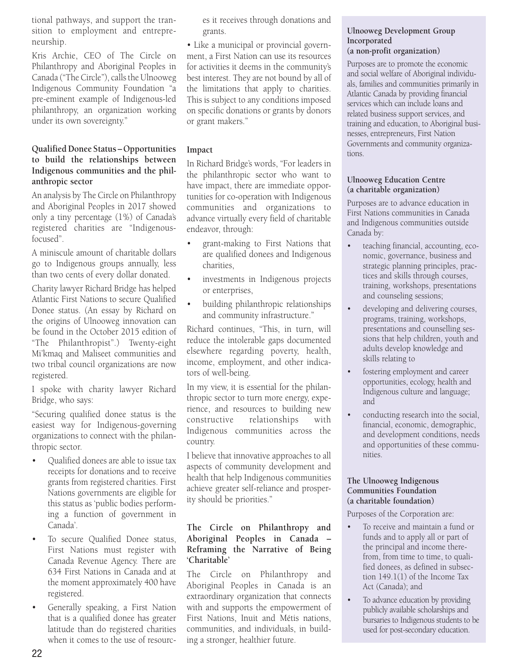tional pathways, and support the transition to employment and entrepreneurship.

Kris Archie, CEO of The Circle on Philanthropy and Aboriginal Peoples in Canada ("The Circle"), calls the Ulnooweg Indigenous Community Foundation "a pre-eminent example of Indigenous-led philanthropy, an organization working under its own sovereignty."

#### **Qualified Donee Status – Opportunities to build the relationships between Indigenous communities and the philanthropic sector**

An analysis by The Circle on Philanthropy and Aboriginal Peoples in 2017 showed only a tiny percentage (1%) of Canada's registered charities are "Indigenousfocused".

A miniscule amount of charitable dollars go to Indigenous groups annually, less than two cents of every dollar donated.

Charity lawyer Richard Bridge has helped Atlantic First Nations to secure Qualified Donee status. (An essay by Richard on the origins of Ulnooweg innovation can be found in the October 2015 edition of "The Philanthropist".) Twenty-eight Mi'kmaq and Maliseet communities and two tribal council organizations are now registered.

I spoke with charity lawyer Richard Bridge, who says:

"Securing qualified donee status is the easiest way for Indigenous-governing organizations to connect with the philanthropic sector.

- Qualified donees are able to issue tax receipts for donations and to receive grants from registered charities. First Nations governments are eligible for this status as 'public bodies performing a function of government in Canada'.
- To secure Qualified Donee status, First Nations must register with Canada Revenue Agency. There are 634 First Nations in Canada and at the moment approximately 400 have registered.
- Generally speaking, a First Nation that is a qualified donee has greater latitude than do registered charities when it comes to the use of resourc-

es it receives through donations and grants.

• Like a municipal or provincial government, a First Nation can use its resources for activities it deems in the community's best interest. They are not bound by all of the limitations that apply to charities. This is subject to any conditions imposed on specific donations or grants by donors or grant makers."

### **Impact**

In Richard Bridge's words, "For leaders in the philanthropic sector who want to have impact, there are immediate opportunities for co-operation with Indigenous communities and organizations to advance virtually every field of charitable endeavor, through:

- grant-making to First Nations that are qualified donees and Indigenous charities,
- investments in Indigenous projects or enterprises,
- building philanthropic relationships and community infrastructure."

Richard continues, "This, in turn, will reduce the intolerable gaps documented elsewhere regarding poverty, health, income, employment, and other indicators of well-being.

In my view, it is essential for the philanthropic sector to turn more energy, experience, and resources to building new constructive relationships with Indigenous communities across the country.

I believe that innovative approaches to all aspects of community development and health that help Indigenous communities achieve greater self-reliance and prosperity should be priorities."

# **The Circle on Philanthropy and Aboriginal Peoples in Canada – Reframing the Narrative of Being 'Charitable'**

The Circle on Philanthropy and Aboriginal Peoples in Canada is an extraordinary organization that connects with and supports the empowerment of First Nations, Inuit and Métis nations, communities, and individuals, in building a stronger, healthier future.

#### **Ulnooweg Development Group Incorporated (a non-profit organization)**

Purposes are to promote the economic and social welfare of Aboriginal individuals, families and communities primarily in Atlantic Canada by providing financial services which can include loans and related business support services, and training and education, to Aboriginal businesses, entrepreneurs, First Nation Governments and community organizations.

#### **Ulnooweg Education Centre (a charitable organization)**

Purposes are to advance education in First Nations communities in Canada and Indigenous communities outside Canada by:

- teaching financial, accounting, economic, governance, business and strategic planning principles, practices and skills through courses, training, workshops, presentations and counseling sessions;
- developing and delivering courses, programs, training, workshops, presentations and counselling sessions that help children, youth and adults develop knowledge and skills relating to
- fostering employment and career opportunities, ecology, health and Indigenous culture and language; and
- conducting research into the social, financial, economic, demographic, and development conditions, needs and opportunities of these communities.

#### **The Ulnooweg Indigenous Communities Foundation (a charitable foundation)**

Purposes of the Corporation are:

- To receive and maintain a fund or funds and to apply all or part of the principal and income therefrom, from time to time, to qualified donees, as defined in subsection 149.1(1) of the Income Tax Act (Canada); and
- To advance education by providing publicly available scholarships and bursaries to Indigenous students to be used for post-secondary education.